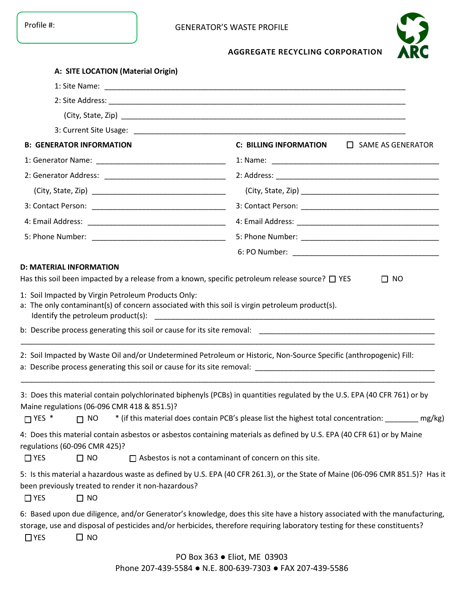

## **AGGREGATE RECYCLING CORPORATION**

| A: SITE LOCATION (Material Origin)                                                                                                                                                                                                                                                                                                |                                                                                                       |                          |  |
|-----------------------------------------------------------------------------------------------------------------------------------------------------------------------------------------------------------------------------------------------------------------------------------------------------------------------------------|-------------------------------------------------------------------------------------------------------|--------------------------|--|
|                                                                                                                                                                                                                                                                                                                                   |                                                                                                       |                          |  |
|                                                                                                                                                                                                                                                                                                                                   |                                                                                                       |                          |  |
|                                                                                                                                                                                                                                                                                                                                   |                                                                                                       |                          |  |
|                                                                                                                                                                                                                                                                                                                                   |                                                                                                       |                          |  |
| <b>B: GENERATOR INFORMATION</b>                                                                                                                                                                                                                                                                                                   | <b>C: BILLING INFORMATION</b>                                                                         | $\Box$ SAME AS GENERATOR |  |
|                                                                                                                                                                                                                                                                                                                                   |                                                                                                       |                          |  |
| 2: Generator Address: __________________________________                                                                                                                                                                                                                                                                          |                                                                                                       |                          |  |
|                                                                                                                                                                                                                                                                                                                                   |                                                                                                       |                          |  |
|                                                                                                                                                                                                                                                                                                                                   |                                                                                                       |                          |  |
|                                                                                                                                                                                                                                                                                                                                   |                                                                                                       |                          |  |
|                                                                                                                                                                                                                                                                                                                                   |                                                                                                       |                          |  |
|                                                                                                                                                                                                                                                                                                                                   |                                                                                                       |                          |  |
| 2: Soil Impacted by Waste Oil and/or Undetermined Petroleum or Historic, Non-Source Specific (anthropogenic) Fill:                                                                                                                                                                                                                |                                                                                                       |                          |  |
| 3: Does this material contain polychlorinated biphenyls (PCBs) in quantities regulated by the U.S. EPA (40 CFR 761) or by<br>Maine regulations (06-096 CMR 418 & 851.5)?<br>$\Box$ YES $*$<br>$\Box$ NO<br>4: Does this material contain asbestos or asbestos containing materials as defined by U.S. EPA (40 CFR 61) or by Maine | * (if this material does contain PCB's please list the highest total concentration: __________ mg/kg) |                          |  |
| regulations (60-096 CMR 425)?<br>$\Box$ NO<br>$\Box$ YES                                                                                                                                                                                                                                                                          | $\Box$ Asbestos is not a contaminant of concern on this site.                                         |                          |  |
| 5: Is this material a hazardous waste as defined by U.S. EPA (40 CFR 261.3), or the State of Maine (06-096 CMR 851.5)? Has it<br>been previously treated to render it non-hazardous?<br>$\Box$ YES<br>$\Box$ NO                                                                                                                   |                                                                                                       |                          |  |
| 6: Based upon due diligence, and/or Generator's knowledge, does this site have a history associated with the manufacturing,<br>storage, use and disposal of pesticides and/or herbicides, therefore requiring laboratory testing for these constituents?<br>$\Box$ YES<br>$\Box$ NO                                               |                                                                                                       |                          |  |
|                                                                                                                                                                                                                                                                                                                                   | PO Box 363 ● Eliot, ME 03903                                                                          |                          |  |